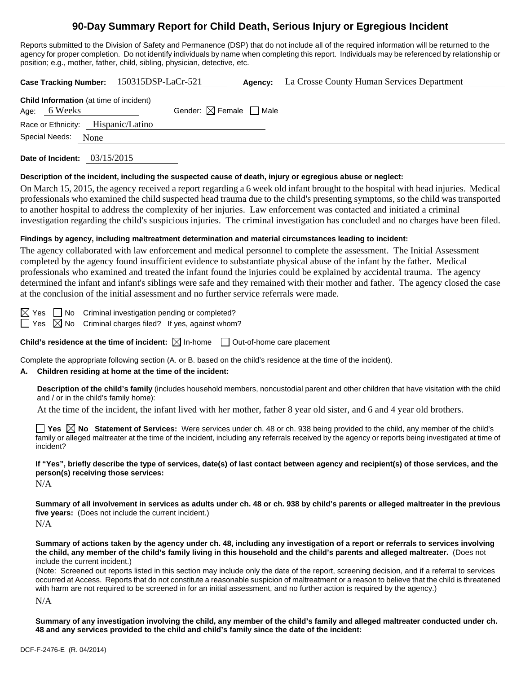# **90-Day Summary Report for Child Death, Serious Injury or Egregious Incident**

Reports submitted to the Division of Safety and Permanence (DSP) that do not include all of the required information will be returned to the agency for proper completion. Do not identify individuals by name when completing this report. Individuals may be referenced by relationship or position; e.g., mother, father, child, sibling, physician, detective, etc.

| Case Tracking Number: 150315DSP-LaCr-521                       |                                        |  | <b>Agency:</b> La Crosse County Human Services Department |  |  |  |  |
|----------------------------------------------------------------|----------------------------------------|--|-----------------------------------------------------------|--|--|--|--|
| <b>Child Information</b> (at time of incident)<br>Age: 6 Weeks | Gender: $\boxtimes$ Female $\Box$ Male |  |                                                           |  |  |  |  |
| Race or Ethnicity: Hispanic/Latino                             |                                        |  |                                                           |  |  |  |  |
| Special Needs:<br>None                                         |                                        |  |                                                           |  |  |  |  |
|                                                                |                                        |  |                                                           |  |  |  |  |

**Date of Incident:** 03/15/2015

#### **Description of the incident, including the suspected cause of death, injury or egregious abuse or neglect:**

On March 15, 2015, the agency received a report regarding a 6 week old infant brought to the hospital with head injuries. Medical professionals who examined the child suspected head trauma due to the child's presenting symptoms, so the child was transported to another hospital to address the complexity of her injuries. Law enforcement was contacted and initiated a criminal investigation regarding the child's suspicious injuries. The criminal investigation has concluded and no charges have been filed.

### **Findings by agency, including maltreatment determination and material circumstances leading to incident:**

The agency collaborated with law enforcement and medical personnel to complete the assessment. The Initial Assessment completed by the agency found insufficient evidence to substantiate physical abuse of the infant by the father. Medical professionals who examined and treated the infant found the injuries could be explained by accidental trauma. The agency determined the infant and infant's siblings were safe and they remained with their mother and father. The agency closed the case at the conclusion of the initial assessment and no further service referrals were made.

 $\boxtimes$  Yes  $\Box$  No Criminal investigation pending or completed?

 $\Box$  Yes  $\boxtimes$  No Criminal charges filed? If yes, against whom?

**Child's residence at the time of incident:**  $\boxtimes$  In-home  $\Box$  Out-of-home care placement

Complete the appropriate following section (A. or B. based on the child's residence at the time of the incident).

### **A. Children residing at home at the time of the incident:**

**Description of the child's family** (includes household members, noncustodial parent and other children that have visitation with the child and / or in the child's family home):

At the time of the incident, the infant lived with her mother, father 8 year old sister, and 6 and 4 year old brothers.

**Yes**  $\boxtimes$  **No** Statement of Services: Were services under ch. 48 or ch. 938 being provided to the child, any member of the child's family or alleged maltreater at the time of the incident, including any referrals received by the agency or reports being investigated at time of incident?

**If "Yes", briefly describe the type of services, date(s) of last contact between agency and recipient(s) of those services, and the person(s) receiving those services:** 

N/A

**Summary of all involvement in services as adults under ch. 48 or ch. 938 by child's parents or alleged maltreater in the previous five years:** (Does not include the current incident.) N/A

**Summary of actions taken by the agency under ch. 48, including any investigation of a report or referrals to services involving the child, any member of the child's family living in this household and the child's parents and alleged maltreater.** (Does not include the current incident.)

(Note: Screened out reports listed in this section may include only the date of the report, screening decision, and if a referral to services occurred at Access. Reports that do not constitute a reasonable suspicion of maltreatment or a reason to believe that the child is threatened with harm are not required to be screened in for an initial assessment, and no further action is required by the agency.)

N/A

**Summary of any investigation involving the child, any member of the child's family and alleged maltreater conducted under ch. 48 and any services provided to the child and child's family since the date of the incident:**